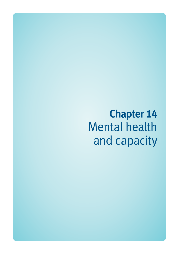**Chapter 14**  Mental health and capacity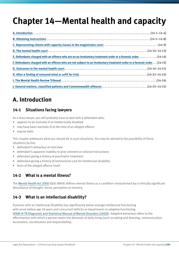# **Chapter 14—Mental health and capacity**

| E. Defendants charged with an offence who are on an involuntary treatment order or a forensic order (14-14)             |
|-------------------------------------------------------------------------------------------------------------------------|
| F. Defendants charged with an offence who are not subject to an involuntary treatment order or a forensic order (14-15) |
|                                                                                                                         |
|                                                                                                                         |
|                                                                                                                         |
| J. General matters, classified patients and Commonwealth offences(14-25-14-31)                                          |

# **A. Introduction**

#### **14-1 Situations facing lawyers**

As a duty lawyer, you will probably have to deal with a defendant who:

- appears to be mentally ill or intellectually disabled
- may have been mentally ill at the time of an alleged offence
- may be both.

This chapter addresses what you should do in such situations. You may be alerted to the possibility of these situations by the:

- defendant's behaviour at interview
- defendant's apparent inability to give coherent or rational instructions
- defendant giving a history of psychiatric treatment
- defendant giving a history of institutional care for intellectual disability
- facts of the alleged offence itself.

### **14-2 What is a mental illness?**

The *[Mental Health Act 2000](http://www.legislation.qld.gov.au/LEGISLTN/CURRENT/M/MentalHealthA00.pdf)* (Qld) (MHA) defines mental illness as a condition characterised by a clinically significant disturbance of thought, mood, perception or memory.

#### **14-3 What is an intellectual disability?**

A person with an intellectual disability has significantly below average intellectual functioning with onset before age 18 years and concurrent deficits or impairments in adaptive functioning ([DSM-IV-TR Diagnostic and Statistical Manual of Mental Disorders \(2000\)](http://dsm.psychiatryonline.org/book.aspx?bookid=22)). Adaptive behaviour refers to the effectiveness with which a person meets the demands of daily living (such as eating and dressing, communication, locomotion, socialisation and responsibility).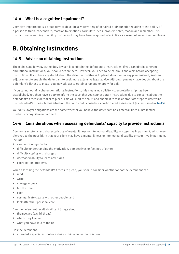#### **14-4 What is a cognitive impairment?**

Cognitive impairment is a broad term to describe a wide variety of impaired brain function relating to the ability of a person to think, concentrate, reaction to emotions, formulate ideas, problem solve, reason and remember. It is distinct from a learning disability insofar as it may have been acquired later in life as a result of an accident or illness.

# **B. Obtaining instructions**

#### **14-5 Advice on obtaining instructions**

The main issue for you, as the duty lawyer, is to obtain the defendant's instructions. If you can obtain coherent and rational instructions, you should act on them. However, you need to be cautious and alert before accepting instructions. If you have any doubt about the defendant's fitness to plead, do not enter any plea; instead, seek an adjournment to enable the defendant to seek more extensive legal advice. Although you may have doubts about the defendant's fitness to plead, you may still act to obtain a remand or apply for bail.

If you cannot obtain coherent or rational instructions, this means no solicitor–client relationship has been established. You then have a duty to inform the court that you cannot obtain instructions due to concerns about the defendant's fitness for trial or to plead. This will alert the court and enable it to take appropriate steps to determine the defendant's fitness. In this situation, the court could consider a court-ordered assessment (as discussed in 14-15).

Your duty lawyer obligations are the same whether you believe the defendant has a mental illness, intellectual disability or cognitive impairment.

#### **14-6 Considerations when assessing defendants' capacity to provide instructions**

Common symptoms and characteristics of mental illness or intellectual disability or cognitive impairment, which may alert you to the possibility that your client may have a mental illness or intellectual disability or cognitive impairment, include:

- avoidance of eye contact
- difficulty understanding the motivation, perspectives or feelings of others
- difficulty coping with changes
- decreased ability to learn new skills
- coordination problems.

When assessing the defendant's fitness to plead, you should consider whether or not the defendant can:

- read
- write
- manage money
- tell the time
- cook
- communicate clearly with other people, and
- look after their personal care.

Can the defendant recall significant things about:

- themselves (e.g. birthday)
- where they live, and
- what you have said to them?

Has the defendant:

• attended a special school or a class within a mainstream school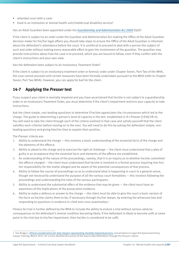- attended court with a carer
- lived in an institution or mental health unit/intellectual disability service?

Has an Adult Guardian been appointed under the *[Guardianship and Administration Act 2000](http://www.legislation.qld.gov.au/LEGISLTN/CURRENT/G/GuardAdminA00.pdf)* (Qld)?

If the client is subject to an order under the Guardian and Administration Act making the Office of the Adult Guardian decision maker for his/her legal affairs you should take steps to ensure the Office of the Adult Guardian is informed about the defendant's attendance before the court. It is unethical to proceed to deal with a person the subject of such and order without making every reasonable effort to gain the involvement of the guardian. The guardian may provide instructions about how the case is to proceed, which you are bound to follow, even if they conflict with the client's instructions and your own view.

Has the defendant been subject to an Involuntary Treatment Order?

If the client is subject to an involuntary treatment order or forensic order under Chapter Seven, Part Two of the MHA, the case cannot proceed until certain measures have been formally undertaken pursuant to the MHA (refer to Chapter Seven, Part Two MHA). However, you can apply for bail for the client.

#### **14-7 Applying the** *Presser* **test**

If you suspect your client is mentally impaired and you have ascertained that he/she is not subject to a guardianship order or an Involuntary Treatment Order, you must determine if the client's impairment restricts your capacity to take instructions.

Ask the client simple, non-leading questions to determine if he/she appreciates the circumstances which led to the charge. The guide to determining a person's level of capacity is the test established in *R v Presser* [1958] VR 45. You will need to take the client through each of the criteria outlined in that case and satisfy yourself that the client satisfies each criterion before moving on to the next. You will need to do this by asking the defendant simple, nonleading questions and giving him/her time to explain their position.

The *Presser* criteria are:

- 1. Ability to understand the charge this involves a basic understanding of the essential facts of the charge and the elements of the offence.
- 2. Ability to plead to the charge and to exercise the right of challenge the client must understand that a plea of guilty is an acceptance that the essential facts and elements of the offence are established.
- 3. An understanding of the nature of the proceedings, namely, that it is an inquiry as to whether he/she committed the offence charged — the client must understand that he/she is involved in a formal process inquiring into his/ her responsibility for the matter alleged and be aware of the potential consequences of that process.
- 4. Ability to follow the course of proceedings so as to understand what is happening in court in a general sense, though not necessarily understand the purpose of all the various court formalities — this involves following the proceedings and understanding the roles of the various participants.
- 5. Ability to understand the substantial effect of the evidence that may be given the client must have an awareness of the implications of the prosecution evidence.
- 6. Ability to make a defence or answer to the charge the client must be able to give the court a basic version of the facts as he/she claims them to be, if necessary through his/her lawyer, by entering the witnesses box and responding to questions in evidence-in-chief and cross-examination.<sup>1</sup>

Fitness for trial is further defined by the MHA to include the ability to endure a trial without serious adverse consequences to the defendant's mental condition becoming likely. If the defendant is likely to become unfit at some point in the trial due to his/her impairment, then he/she is considered to be unfit.

<sup>1</sup> See Briggs,J. *[Ethical considerations for duty lawyers representing mentally impaired persons](http://www.legalaid.qld.gov.au/publications/Practitioners-service-providers/Documents/duty-lawyer-handbook/ethicalconsiderations.pdf)*, presentation to Legal Aid Queensland Duty Lawyer Training, March 2011, for a more detailed discussion of the way to take defendants through the *Presser* criteria.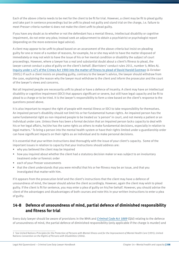Each of the above criteria needs to be met for the client to be fit for trial. However, a client may be fit to plead guilty and take part in sentence proceedings but be unfit to plead not guilty and stand trial on the charge, i.e. failure to meet *Presser* criteria number 6 does not make the client unfit to plead guilty.

If you have any doubt as to whether or not the defendant has a mental illness, intellectual disability or cognitive impairment, do not enter any plea; instead seek an adjournment to obtain a psychiatrist or psychologist report (depending on the more extensive legal advice).

A client may appear to be unfit to plead based on an assessment of the above criteria but insist on pleading guilty for one or more of a number of reasons, for example, he or she may wish to have the matter disposed of immediately or may not wish to have the issue of his or her mental condition or disability the subject of court proceedings. However, where a lawyer has a real and substantial doubt about a client's fitness to plead, the lawyer cannot conduct a plea of guilty on the client's behalf. (Barristers' conduct rules 2011, number 5; Miles AJ. [Inquiry under s 475 of the Crimes Act 1900 into the matter of fitness to plead of David Harold Eastman](http://www.courts.act.gov.au/supreme/publication/view/265/title/inquiry-under-s475-of-the) (6 October 2005).) If such a client insists on pleading guilty, contrary to the lawyer's advice, the lawyer should withdraw from the case, explaining the reason why the lawyer must withdraw to the client and inform the prosecutor and the court of the lawyer's views and concerns.

Not all impaired people are necessarily unfit to plead or have a defence of insanity. A client may have an intellectual disability or cognitive impairment (IDCI) that appears significant or severe, but still have legal capacity and be fit to plead to a charge or to be tried. It is the lawyer's responsibility to form a view based on the client's response to the questions posed above.

It is also important to respect the right of people with mental illness or IDCI to take responsibility for themselves. An impaired person's disability should not limit his or her fundamental human rights. An impaired person has the same fundamental right as non-impaired people to be treated as 'a person' in court, and not merely a patient or an individual under care. Unless there has been a formal decision that an impaired person lacks capacity to deal with his or her legal affairs, he/she has the same rights as others to make fundamental decisions, especially in relation to legal matters.2 To bring a person into the mental health system or have their rights limited under a guardianship order can have significant impacts on their rights as an individual and to make personal decisions.

It is essential that your written instructions deal thoroughly with the issue of your client's capacity. Some of the important issues in relation to capacity that your instructions should address are:

- why you believed the client may be impaired
- how you inquired about whether the client had a statutory decision maker or was subject to an involuntary treatment order or forensic order
- each of your *Presser* assessments
- that the client understands that you were mindful that his or her fitness may be an issue, and that you investigated that matter with him.

If it appears from the prosecution brief and the client's instructions that the client may have a defence of unsoundness of mind, the lawyer should advise the client accordingly. However, again the client may wish to plead guilty. If the client is fit for sentence, you may enter a plea of guilty on his/her behalf. However, you should advise the client of the advantages and disadvantages of both courses and note this in your written instructions to enter a plea of guilty.

#### **14-8 Defence of unsoundness of mind, partial defence of diminished responsibility and fitness for trial**

Every duty lawyer should be aware of provisions in the MHA and *[Criminal Code Act 1889](http://www.legislation.qld.gov.au/LEGISLTN/CURRENT/C/CriminCode.pdf)* (Qld) relating to the defence of unsoundness of mind, the partial defence of diminished responsibility (only applicable if the charge is murder) and

<sup>2</sup> See United Nations *Principles for the Protection of Persons with Mental Illness and for the Improvement of Mental Health Care* (1991); United Nations *Convention on the Rights of Persons with Disabilities* (2006).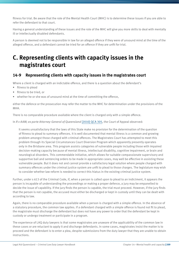fitness for trial. Be aware that the role of the Mental Health Court (MHC) is to determine these issues if you are able to refer the defendant to that court.

Having a general understanding of these issues and the role of the MHC will give you more skills to deal with mentally ill or intellectually disabled defendants.

A person is deemed not to be responsible in law for an alleged offence if they were of unsound mind at the time of the alleged offence, and a defendant cannot be tried for an offence if they are unfit for trial.

# **C. Representing clients with capacity issues in the magistrates court**

#### **14-9 Representing clients with capacity issues in the magistrates court**

Where a client is charged with an indictable offence, and there is a question about the defendant's

- fitness to plead
- fitness to be tried, or
- whether he or she was of unsound mind at the time of committing the offence,

either the defence or the prosecution may refer the matter to the MHC for determination under the provisions of the MHA.

There is no comparable procedure available where the client is charged only with a simple offence.

In *R v AAM; ex parte Attorney-General of Queensland* [\[2010\] QCA 305](http://archive.sclqld.org.au/qjudgment/2010/QCA10-305.pdf), the Court of Appeal observed:

It seems unsatisfactory that the laws of this State make no provision for the determination of the question of fitness to plead to summary offences. It is well documented that mental illness is a common and growing problem amongst those charged with criminal offences. The Magistrates Court has attempted to meet this problem through its Special Circumstances Court Diversion Program which apparently presently operates only in the Brisbane area. This program assists categories of vulnerable people including those with impaired decision-making capacity because of mental illness, intellectual disability, cognitive impairment, or brain and neurological disorders. This commendable initiative, which allows for suitable compassionate supervisory and supportive bail and sentencing orders to be made in appropriate cases, may well be effective in assisting these vulnerable people. But it does not and cannot provide a satisfactory legal solution where people charged with summary offences under the criminal justice system are unfit to plead to those charges. The legislature may wish to consider whether law reform is needed to correct this hiatus in the existing criminal justice system.

Further, under s 613 of the Criminal Code, if, when a person is called upon to plead to an indictment, it appears the person is incapable of understanding the proceedings or making a proper defence, a jury may be empanelled to decide the issue of capability. If the jury finds the person is capable, the trial must proceed. However, if the jury finds that the person is not capable, the accused must either be discharged or kept in custody until they can be dealt with according to law.

Again, there is no comparable procedure available when a person is charged with a simple offence. In the absence of a statutory procedure, the common law applies. If a defendant charged with a simple offence is found not fit to plead, the magistrate must discharge the defendant but does not have any power to order that the defendant be kept in custody or undergo treatment or participate in a program.

The experience of LAQ duty lawyers is that some magistrates are unaware of the applicability of the common law in these cases or are reluctant to apply it and discharge defendants. In some cases, magistrates insist the matter is to proceed and the defendant is to enter a plea, despite submissions from the duty lawyer that they are unable to obtain instructions.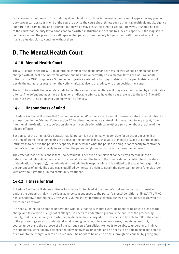Duty lawyers should remain firm that they do not hold instructions in the matter, and cannot appear on any plea. A duty lawyer can assist as friend of the court to advise the court about things such as mental health diagnosis, agency support in the community and accommodation which may assist the client to get bail. However, it should be clear to the court that the duty lawyer does not hold written instructions to act due to a lack of capacity. If the magistrate continues to hear the plea with a self represented person, then the duty lawyer should withdraw and accept the magistrates decision to continue without them.

# **D. The Mental Health Court**

### **14-10 Mental Health Court**

The MHA established the MHC to determine criminal responsibility and fitness for trial where a person has been charged with at least one indictable offence and has had, or currently has, a mental illness or a natural mental infirmity. The MHC comprises a Supreme Court justice assisted by two psychiatrists. Those psychiatrists do not decide the ultimate issues; rather, they offer clinical advice to the judge, who then decides the issues.

The MHC has jurisdiction over state indictable offences and simple offences if they are accompanied by an indictable offence. The defendant must have at least one indictable offence to have their case referred to the MHC. The MHC does not have jurisdiction over Commonwealth offences.

#### **14-11 Unsoundness of mind**

Schedule 2 of the MHA states that 'unsoundness of mind' is 'the state of mental disease or natural mental infirmity as described in the Criminal Code, section 27, but does not include a state of mind resulting, to any extent, from intentional intoxication or stupefaction alone or in combination with some other agent at or about the time of the alleged offence'.

Section 27 of the Criminal Code states that '[a] person is not criminally responsible for an act or omission if at the time of doing the act or making the omission the person is in such a state of mental disease or natural mental infirmity as to deprive the person of capacity to understand what the person is doing, or of capacity to control the person's actions, or of capacity to know that the person ought not to do the act or make the omission'.

The effect of those provisions is that, if a defendant is deprived of a relevant capacity by a mental illness or natural mental infirmity alone (i.e. intoxication at or about the time of the offence did not contribute to the state of deprivation of capacity), the defendant is not criminally responsible and is entitled to the qualified acquittal of unsoundness of mind. The acquittal is qualified by the state's right to detain the defendant under a forensic order, with or without granting limited community treatment.

# **14-12 Fitness for trial**

Schedule 2 of the MHA defines 'fitness for trial' as 'fit to plead at the person's trial and to instruct counsel and endure the person's trial, with serious adverse consequences to the person's mental condition unlikely'. The MHC has, essentially, adopted the *R v Presser* [1958] VR 45 test for fitness for trial (known as the Presser test), which is expressed as follows:

'He needs, I think, to be able to understand what it is that he is charged with. He needs to be able to plead to the charge and to exercise his right of challenge. He needs to understand generally the nature of the proceeding, namely, that it is an inquiry as to whether he did what he is charged with. He needs to be able to follow the course of the proceedings so as to understand what is going on in court in a general sense, though he need not, of course, understand the purpose of all the various court formalities. He needs to be able to understand, I think, the substantial effect of any evidence that may be given against him; and he needs to be able to make his defence or answer to the charge. Where he has counsel, he needs to be able to do this through his counsel by giving any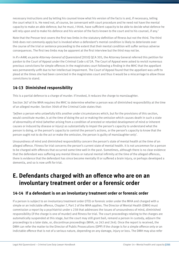necessary instructions and by letting his counsel know what his version of the facts is and, if necessary, telling the court what it is. He need not, of course, be conversant with court procedure and he need not have the mental capacity to make an able defence; but he must, I think, have sufficient capacity to be able to decide what defence he will rely upon and to make his defence and his version of the facts known to the court and to his counsel, if any.'

Note that the Presser test covers the first two limbs in the statutory definition of fitness but not the third. The third limb does not commonly apply but is invoked when a defendant's mental condition is likely to deteriorate over the course of the trial or sentence proceeding to the extent that their mental condition will suffer serious adverse consequences. The first two limbs may be apparent at the first interview but the third may not be.

In *R v AAM; ex parte Attorney-General of Queensland* [2010] QCA 305, the Attorney General referred this petition for pardon to the Court of Appeal under the Criminal Code s 672A. The Court of Appeal were asked to revisit numerous previous convictions for simple offences in the magistrates court following a finding in the MHC that the appellant was permanently unfit due to her intellectual impairment. The Court of Appeal found that the appellant was unfit to plead at the times she had been convicted in the magistrates court and thus it would be a miscarriage to allow those convictions to stand.

### **14-13 Diminished responsibility**

This is a partial defence to a charge of murder. If invoked, it reduces the charge to manslaughter.

Section 267 of the MHA requires the MHC to determine whether a person was of diminished responsibility at the time of an alleged murder. Section 304A of the Criminal Code states that:

'[w]hen a person who unlawfully kills another under circumstances which, but for the provisions of this section, would constitute murder, is at the time of doing the act or making the omission which causes death in such a state of abnormality of mind (whether arising from a condition of arrested or retarded development of mind or inherent causes or induced by disease or injury) as substantially to impair the person's capacity to understand what the person is doing, or the person's capacity to control the person's actions, or the person's capacity to know that the person ought not to do the act or make the omission, the person is guilty of manslaughter only'.

Unsoundness of mind and diminished responsibility concern the person's state of mental health at the time of an alleged offence. Fitness for trial concerns the person's current state of mental health. It is not uncommon for a person to be charged with offences that occurred some time well in the past. Sometimes, although there is no clear evidence that the defendant was suffering any mental illness or natural mental infirmity at the time of the alleged offences, there is evidence that the defendant has since become mentally ill or suffered a brain injury, or perhaps developed a dementia, and so is now unfit for trial.

# **E. Defendants charged with an offence who are on an involuntary treatment order or a forensic order**

### **14-14 If a defendant is on an involuntary treatment order or forensic order**

If a person is subject to an involuntary treatment order (ITO) or forensic order under the MHA and charged with a simple or an indictable offence, Chapter 7, Part 2 of the MHA applies. The Director of Mental Health (DMH) must commission a report by a psychiatrist under s 238 that addresses the issues of unsoundness of mind, diminished responsibility (if the charge is one of murder) and fitness for trial. The court proceedings relating to the charges are automatically suspended at this stage, but the court may still grant bail, remand a person in custody, adjourn the proceedings to a later date, or, discontinue proceedings (MHA, ss 243 and 244). Once the report is received, the DMH can refer the matter to the Director of Public Prosecutions (DPP) if the charge is for a simple offence only or an indictable offence that is not of a serious nature, depending on any damage, injury or loss. The DMH may also refer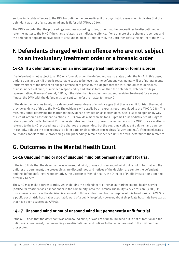serious indictable offences to the DPP to continue the proceedings if the psychiatric assessment indicates that the defendant was not of unsound mind and is fit for trial (MHA, s 240).

The DPP can order that the proceedings continue according to law, order that the proceedings be discontinued or refer the matter to the MHC if the charge relates to an indictable offence. If one or more of the charges is serious and the defendant appears to have been of unsound mind or is unfit for trial, the DMH then refers the matter to the MHC.

# **F. Defendants charged with an offence who are not subject to an involuntary treatment order or a forensic order**

#### **14-15 If a defendant is not on an involuntary treatment order or forensic order**

If a defendant is not subject to an ITO or a forensic order, the defendant has no status under the MHA. In this case, under ss 256 and 257, if there is reasonable cause to believe that the defendant was mentally ill or of natural mental infirmity either at the time of an alleged offence or at present, to a degree that the MHC should consider issues of unsoundness of mind, diminished responsibility and fitness for trial, then the defendant, defendant's legal representative, Attorney-General, DPP or, if the defendant is a voluntary patient receiving treatment for a mental illness, the DMH with the defendant's consent can refer the matter to the MHC.

If the defendant wishes to rely on a defence of unsoundness of mind or argue that they are unfit for trial, they must provide evidence of this to the MHC. The evidence will usually be an expert's report provided to the MHC (s 258). The MHC may either determine the matter on the evidence provided or, as it often does, seek a second opinion by way of a court-ordered assessment. Sections 61–63 provide a mechanism for a Supreme Court or district court judge to refer a person's matter to the MHC. The magistrates court has no power to refer matters to the MHC. Once a matter is referred to the MHC, proceedings on the charges are suspended, but the court may still grant bail, remand a person in custody, adjourn the proceedings to a later date, or discontinue proceedings (ss 259 and 260). If the magistrates court does not discontinue proceedings, the proceedings remain suspended until the MHC determines the reference.

# **G. Outcomes in the Mental Health Court**

#### **14-16 Unsound mind or not of unsound mind but permanently unfit for trial**

If the MHC finds that the defendant was of unsound mind, or was not of unsound mind but is not fit for trial and the unfitness is permanent, the proceedings are discontinued and notices of the decision are sent to the defendant and the defendantís legal representative, the Director of Mental Health, the Director of Public Prosecutions and the Attorney-General.

The MHC may make a forensic order, which detains the defendant to either an authorised mental health service (AMHS) for treatment as an inpatient or in the community, or to the Forensic Disability Service for care (s 288). In those cases, a notice of the decision is also sent to those authorities. For the purpose of this handbook, an AMHS is a public psychiatric hospital or psychiatric ward of a public hospital. However, about six private hospitals have wards that have been gazetted as AMHSs.

#### **14-17 Unsound mind or not of unsound mind but permanently unfit for trial**

If the MHC finds that the defendant was of unsound mind, or was not of unsound mind but is not fit for trial and the unfitness is permanent, the proceedings are discontinued and notices to that effect are sent to the trial court and prosecutor.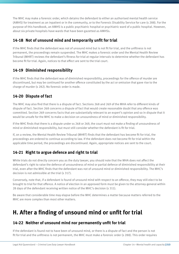The MHC may make a forensic order, which detains the defendant to either an authorised mental health service (AMHS) for treatment as an inpatient or in the community, or to the Forensic Disability Service for care (s 288). For the purpose of this handbook, an AMHS is a public psychiatric hospital or psychiatric ward of a public hospital. However, about six private hospitals have wards that have been gazetted as AMHSs.

#### **14-18 Not of unsound mind and temporarily unfit for trial**

If the MHC finds that the defendant was not of unsound mind but is not fit for trial, and the unfitness is not permanent, the proceedings remain suspended. The MHC makes a forensic order and the Mental Health Review Tribunal (MHRT) reviews the defendant's fitness for trial at regular intervals to determine whether the defendant has become fit for trial. Again, notices to that effect are sent to the trial court.

### **14-19 Diminished responsibility**

If the MHC finds that the defendant was of diminished responsibility, proceedings for the offence of murder are discontinued, but may be continued for another offence constituted by the act or omission that gave rise to the charge of murder (s 282). No forensic order is made.

# **14-20 Dispute of fact**

The MHC may also find that there is a dispute of fact. Sections 268 and 269 of the MHA refer to different kinds of dispute of fact. Section 268 concerns a dispute of fact that would create reasonable doubt that any offence was committed. Section 269 concerns facts that are substantially relevant to an expert's opinion and so in dispute that it would be unsafe for the MHC to make a decision on unsoundness of mind or diminished responsibility.

If the MHC finds that there is a dispute under ss 268 or 269, the court must not make a finding of unsoundness of mind or diminished responsibility, but must still consider whether the defendant is fit for trial.

If, on a review, the Mental Health Review Tribunal (MHRT) finds that the defendant has become fit for trial, the proceedings are ordered to continue according to law. If the defendant does not become fit for trial within the applicable time period, the proceedings are discontinued. Again, appropriate notices are sent to the court.

# **14-21 Right to argue defence and right to trial**

While trials do not directly concern you as the duty lawyer, you should note that the MHA does not affect the defendant's right to raise the defence of unsoundness of mind or partial defence of diminished responsibility at their trial, even after the MHC finds that the defendant was not of unsound mind or diminished responsibility. The MHC's decision is not admissible at the trial (s 317).

Conversely, note that, if a defendant is found of unsound mind with respect to an offence, they may still elect to be brought to trial for that offence. A notice of election in an approved form must be given to the attorney-general within 28 days of the defendant receiving written notice of the MHC's decision (s 311).

Be aware that considerable time may elapse before the MHC determines a matter because matters referred to the MHC are more complex than most other matters.

# **H. After a finding of unsound mind or unfit for trial**

### **14-22 Neither of unsound mind nor permanently unfit for trial**

If the defendant is found not to have been of unsound mind, or there is a dispute of fact and the person is not fit for trial and the unfitness is not permanent, the MHC must make a forensic order (s 288). This order requires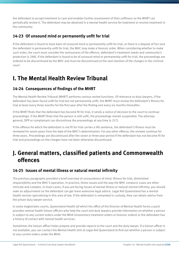the defendant to accept treatment or care and enables further assessment of their unfitness so the MHRT can periodically review it. The defendant may be detained in a mental health service for treatment or receive treatment in the community.

### **14-23 Of unsound mind or permanently unfit for trial**

If the defendant is found to have been of unsound mind or permanently unfit for trial, or there is a dispute of fact and the defendant is permanently unfit for trial, the MHC may make a forensic order. When considering whether to make such order, the court must consider the seriousness of the offence, defendant's treatment needs and community's protection (s 288). If the defendant is found to be of unsound mind or permanently unfit for trial, the proceedings are ordered to be discontinued by the MHC and must be discontinued at the next mention of the charges in the criminal court.

# **I. The Mental Health Review Tribunal**

#### **14-24 Consequences of findings of the MHRT**

The Mental Health Review Tribunal (MHRT) performs various review functions. Of relevance to duty lawyers, if the defendant has been found unfit for trial but not permanently unfit, the MHRT must review the defendant's fitness for trial at least every three months for the first year after the finding and every six months thereafter.

If the MHRT finds that the defendant has become fit for trial, it sends a notice of decision to the court to continue proceedings. If the MHRT finds that the person is still unfit, the proceedings remain suspended. The attorneygeneral, DPP or complainant can discontinue the proceedings at any time (s 217).

If the offence for which the defendant is not fit for trial carries a life sentence, the defendant's fitness must be reviewed for seven years from the date of the MHC's determination. For any other offence, the reviews continue for three years. Proceedings are discontinued after the seven or three year period if the defendant has not become fit for trial and proceedings on the charges have not been otherwise discontinued.

# **J. General matters, classified patients and Commonwealth offences**

#### **14-25 Issues of mental illness or natural mental infirmity**

The previous paragraphs provided a brief overview of unsoundness of mind, fitness for trial, diminished responsibility and the MHC's operation. In practice, these issues and the way the MHC conducts cases are often intricate and complex. In most cases, if you are facing issues of mental illness or natural mental infirmity, you should seek an adjournment so the defendant can get more extensive legal advice. Legal Aid Queensland has a mental health section specialising in this area of law. If the defendant is remanded in custody, they can obtain advice from the prison duty lawyer service.

In some magistrates courts, Queensland Health (of which the office of the Director of Mental Health forms a part) provides mental health liaison officers who help the court and duty lawyers provide information on whether a person is subject to any current orders under the MHA (involuntary treatment orders or forensic orders) or the defendant has a history of contact with mental health services.

Sometimes the liaison officer helps prepare and provide reports to the court and the duty lawyer. If a liaison officer is not available, you can contact the Mental Health Unit at Legal Aid Queensland to find out whether a person is subject to any current orders under the MHA.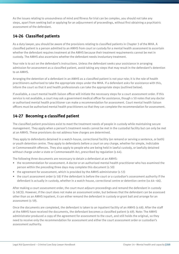As the issues relating to unsoundness of mind and fitness for trial can be complex, you should not take any steps, apart from seeking bail or applying for an adjournment of proceedings, without first obtaining a psychiatric assessment of the defendant.

### **14-26 Classified patients**

As a duty lawyer, you should be aware of the provisions relating to classified patients in Chapter 3 of the MHA. A classified patient is a person admitted to an AMHS from court or custody for a mental health assessment to ascertain whether the defendant requires treatment at the AMHS because their treatment requirements cannot be met in custody. The AMHS also ascertains whether the defendant needs involuntary treatment.

Your role is to act on the defendant's instructions. Unless the defendant seeks your assistance in arranging admission for assessment as a classified patient, avoid taking any steps that may result in the defendant's detention to an AMHS.

Arranging the detention of a defendant in an AMHS as a classified patient is not your role; it is the role of health practitioners authorised to take the appropriate steps under the MHA. If a defendant asks for assistance with this, inform the court so that it and health professionals can take the appropriate steps (outlined below).

If available, a court mental health liaison officer will initiate the necessary steps for a court assessment order. If this service is not available, a court may ask a government medical officer for assistance, though s 50 notes that any doctor or authorised mental health practitioner can make a recommendation for assessment. Court mental health liaison officers must be authorised mental health practitioners so that they can complete the recommendation for assessment.

### **14-27 Becoming a classified patient**

The classified patient provisions exist to meet the treatment needs of people in custody while maintaining secure management. They apply when a person's treatment needs cannot be met in the custodial facility but can only be met at an AMHS. These provisions do not address how charges are determined.

They apply to defendants detained in a watch-house, correctional facility (on remand or serving a sentence, or both) or youth detention centre. They apply to defendants before a court on any charge, whether for simple, indictable or Commonwealth offences. They also apply to people who are being held in lawful custody, or lawfully detained without charge under a state or Commonwealth Act, prescribed by regulation (s 64).

The following three documents are necessary to detain a defendant at an AMHS:

- the recommendation for assessment. A doctor or an authorised mental health practitioner who has examined the person within the preceding three days may complete this document (s 50)
- the agreement for assessment, which is provided by the AMHS administrator (s 53)
- the court assessment order (s 58) if the defendant is before the court or a custodian's assessment authority if the defendant is actually in custody, whether in a watch-house, correctional centre or detention centre (ss 64–66).

After making a court assessment order, the court must adjourn proceedings and remand the defendant in custody (s 58(3)). However, if the court does not make an assessment order, but believes that the defendant can be assessed other than as an AMHS inpatient, it can either remand the defendant in custody or grant bail and arrange for an assessment (s 59).

Once the documents are completed, the defendant is taken to an inpatient facility of an AMHS (s 68). After the staff at the AMHS have received the documents, the defendant becomes a classified patient (s 69). Note: The AMHS administrator produced a copy of the agreement for assessment to the court, and still holds the original, so they need to receive only the recommendation for assessment and either the court assessment order or custodian's assessment authority.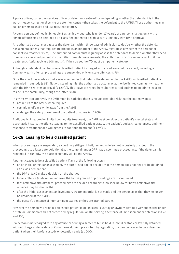A police officer, corrective services officer or detention centre officer—depending whether the defendant is in the watch-house, correctional centre or detention centre—then takes the defendant to the AMHS. Those authorities may call on others to assist and use reasonable force.

A young person, defined in Schedule 2 as 'an individual who is under 17 years', or a person charged only with a simple offence may be detained as a classified patient to a high security unit only with DMH approval.

An authorised doctor must assess the defendant within three days of admission to decide whether the defendant has a mental illness that requires treatment as an inpatient of the AMHS, regardless of whether the defendant consents to treatment (s 71). The authorised doctor must regularly assess the defendant to decide whether they need to remain a classified patient. On the initial or regular assessments, the authorised doctor can make an ITO if the treatment criteria apply (ss 108 and 14). If they do so, the ITO must be inpatient category.

Although a defendant can become a classified patient if charged with any offence before a court, including a Commonwealth offence, proceedings are suspended only on state offences (s 75).

Once the court has made a court assessment order that detains the defendant to the AMHS, a classified patient is remanded in custody (s 58). Notwithstanding this, the authorised doctor may authorise limited community treatment with the DMH's written approval (s 129(2)). This leave can range from short escorted outings to indefinite leave to reside in the community, though the latter is rare.

In giving written approval, the DMH must be satisfied there is no unacceptable risk that the patient would:

- not return to the AMHS when required
- commit an offence while away from the AMHS
- endanger the safety or welfare of the patient or others (s 129(3)).

Additionally, in approving limited community treatment, the DMH must consider the patient's mental state and psychiatric history, the offence leading to the classified patient status, the patient's social circumstances, and their response to treatment and willingness to continue treatment (s 129(4)).

#### **14-28 Ceasing to be a classified patient**

When proceedings are suspended, a court may still grant bail, remand a defendant in custody or adjourn the proceedings to a later date. Additionally, the complainant or DPP may discontinue proceedings. If the defendant is remanded in custody, the place of custody will be the AMHS.

A patient ceases to be a classified patient if any of the following occur:

- on an initial or regular assessment, the authorised doctor decides that the person does not need to be detained as a classified patient
- the DPP or MHC make a decision on the charges
- for any offence (state or Commonwealth), bail is granted or proceedings are discontinued
- for Commonwealth offences, proceedings are decided according to law (see below for how Commonwealth offences may be dealt with)
- after the initial assessment, an involuntary treatment order is not made and the person asks that they no longer be detained at the AMHS
- the person's sentence of imprisonment expires or they are granted parole.

However the person will remain a classified patient if still in lawful custody or lawfully detained without charge under a state or Commonwealth Act prescribed by regulation, or still serving a sentence of imprisonment or detention (ss 78 and 253).

If a person is not charged with any offence or serving a sentence but is held in lawful custody or lawfully detained without charge under a state or Commonwealth Act, prescribed by regulation, the person ceases to be a classified patient when their lawful custody or detention ends (s 100C).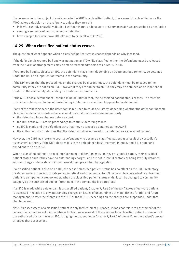If a person who is the subject of a reference to the MHC is a classified patient, they cease to be classified once the MHC makes a decision on the reference, unless they are still:

- in lawful custody or lawfully detained without charge under a state or Commonwealth Act prescribed by regulation
- serving a sentence of imprisonment or detention
- have charges for Commonwealth offences to be dealt with (s 287).

#### **14-29 When classified patient status ceases**

The question of what happens when a classified patient status ceases depends on why it ceased.

If the defendant is granted bail and was not put on an ITO while classified, either the defendant must be released from the AMHS or arrangements may be made for their admission to an AMHS (s 81).

If granted bail and subject to an ITO, the defendant may either, depending on treatment requirements, be detained under the ITO as an inpatient or treated in the community.

If the DPP orders that the proceedings on the charges be discontinued, the defendant must be released to the community if they are not on an ITO. However, if they are subject to an ITO, they may be detained as an inpatient or treated in the community, depending on treatment requirements.

If the MHC finds a defendant of unsound mind or unfit for trial, their classified patient status ceases. The forensic provisions subsequent to one of those findings determines what then happens to the defendant.

If any of the following occur, the defendant is returned to court or custody, depending whether the defendant became classified under a court-ordered assessment or a custodian's assessment authority:

- the defendant faces charges before a court
- the DPP or the MHC orders proceedings to continue according to law
- no ITO is made and the defendant asks that they no longer be detained at the AMHS
- the authorised doctor decides that the defendant does not need to be detained as a classified patient.

However, the DMH may return to court a defendant who became a classified patient as a result of a custodian's assessment authority if the DMH decides it is in the defendant's best treatment interest, and it is proper and expedient to do so (s 89).

When a classified patient's term of imprisonment or detention ends, or they are granted parole, their classified patient status ends if they have no outstanding charges, and are not in lawful custody or being lawfully detained without charge under a state or Commonwealth Act prescribed by regulation.

If a classified patient is also on an ITO, the ceased classified patient status has no effect on the ITO. Involuntary treatment orders come in two categories: inpatient and community. An ITO made while a defendant is a classified patient is an inpatient category order. When the classified patient status ends, it can be changed to community category by the authorised doctor if treatment in the community is appropriate.

If an ITO is made while a defendant is a classified patient, Chapter 7, Part 2 of the MHA takes effect—the patient is assessed in relation to any outstanding charges on issues of unsoundness of mind, fitness for trial and future management, to refer the charges to the DPP or the MHC. Proceedings on the charges are suspended under that chapter as well.

Note: An assessment of a classified patient is only for treatment purposes; it does not relate to assessment of the issues of unsoundness of mind or fitness for trial. Assessment of these issues for a classified patient occurs only if the authorised doctor makes an ITO, bringing the patient under Chapter 7, Part 2 of the MHA, or the patient's lawyer arranges that assessment.